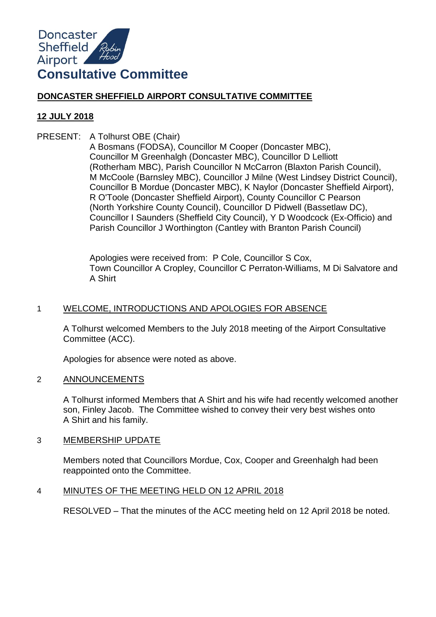

# **DONCASTER SHEFFIELD AIRPORT CONSULTATIVE COMMITTEE**

# **12 JULY 2018**

PRESENT: A Tolhurst OBE (Chair)

A Bosmans (FODSA), Councillor M Cooper (Doncaster MBC), Councillor M Greenhalgh (Doncaster MBC), Councillor D Lelliott (Rotherham MBC), Parish Councillor N McCarron (Blaxton Parish Council), M McCoole (Barnsley MBC), Councillor J Milne (West Lindsey District Council), Councillor B Mordue (Doncaster MBC), K Naylor (Doncaster Sheffield Airport), R O'Toole (Doncaster Sheffield Airport), County Councillor C Pearson (North Yorkshire County Council), Councillor D Pidwell (Bassetlaw DC), Councillor I Saunders (Sheffield City Council), Y D Woodcock (Ex-Officio) and Parish Councillor J Worthington (Cantley with Branton Parish Council)

Apologies were received from: P Cole, Councillor S Cox, Town Councillor A Cropley, Councillor C Perraton-Williams, M Di Salvatore and A Shirt

# 1 WELCOME, INTRODUCTIONS AND APOLOGIES FOR ABSENCE

A Tolhurst welcomed Members to the July 2018 meeting of the Airport Consultative Committee (ACC).

Apologies for absence were noted as above.

# 2 ANNOUNCEMENTS

A Tolhurst informed Members that A Shirt and his wife had recently welcomed another son, Finley Jacob. The Committee wished to convey their very best wishes onto A Shirt and his family.

# 3 MEMBERSHIP UPDATE

Members noted that Councillors Mordue, Cox, Cooper and Greenhalgh had been reappointed onto the Committee.

# 4 MINUTES OF THE MEETING HELD ON 12 APRIL 2018

RESOLVED – That the minutes of the ACC meeting held on 12 April 2018 be noted.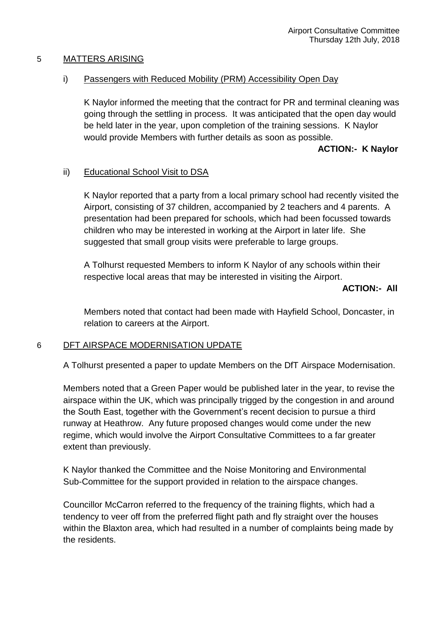#### 5 MATTERS ARISING

#### i) Passengers with Reduced Mobility (PRM) Accessibility Open Day

K Naylor informed the meeting that the contract for PR and terminal cleaning was going through the settling in process. It was anticipated that the open day would be held later in the year, upon completion of the training sessions. K Naylor would provide Members with further details as soon as possible.

#### **ACTION:- K Naylor**

# ii) Educational School Visit to DSA

K Naylor reported that a party from a local primary school had recently visited the Airport, consisting of 37 children, accompanied by 2 teachers and 4 parents. A presentation had been prepared for schools, which had been focussed towards children who may be interested in working at the Airport in later life. She suggested that small group visits were preferable to large groups.

A Tolhurst requested Members to inform K Naylor of any schools within their respective local areas that may be interested in visiting the Airport.

#### **ACTION:- All**

Members noted that contact had been made with Hayfield School, Doncaster, in relation to careers at the Airport.

# 6 DFT AIRSPACE MODERNISATION UPDATE

A Tolhurst presented a paper to update Members on the DfT Airspace Modernisation.

Members noted that a Green Paper would be published later in the year, to revise the airspace within the UK, which was principally trigged by the congestion in and around the South East, together with the Government's recent decision to pursue a third runway at Heathrow. Any future proposed changes would come under the new regime, which would involve the Airport Consultative Committees to a far greater extent than previously.

K Naylor thanked the Committee and the Noise Monitoring and Environmental Sub-Committee for the support provided in relation to the airspace changes.

Councillor McCarron referred to the frequency of the training flights, which had a tendency to veer off from the preferred flight path and fly straight over the houses within the Blaxton area, which had resulted in a number of complaints being made by the residents.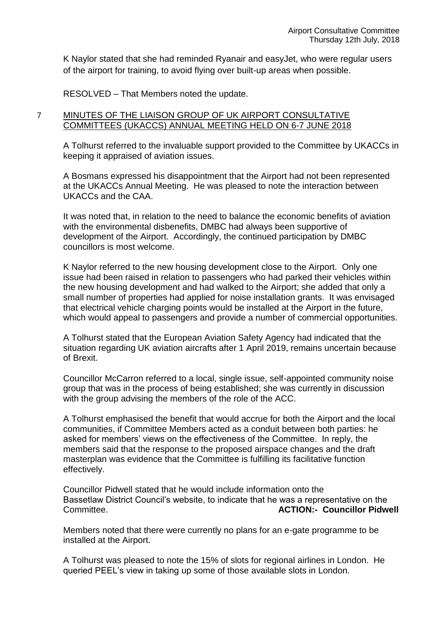K Naylor stated that she had reminded Ryanair and easyJet, who were regular users of the airport for training, to avoid flying over built-up areas when possible.

RESOLVED – That Members noted the update.

# 7 MINUTES OF THE LIAISON GROUP OF UK AIRPORT CONSULTATIVE COMMITTEES (UKACCS) ANNUAL MEETING HELD ON 6-7 JUNE 2018

A Tolhurst referred to the invaluable support provided to the Committee by UKACCs in keeping it appraised of aviation issues.

A Bosmans expressed his disappointment that the Airport had not been represented at the UKACCs Annual Meeting. He was pleased to note the interaction between UKACCs and the CAA.

It was noted that, in relation to the need to balance the economic benefits of aviation with the environmental disbenefits, DMBC had always been supportive of development of the Airport. Accordingly, the continued participation by DMBC councillors is most welcome.

K Naylor referred to the new housing development close to the Airport. Only one issue had been raised in relation to passengers who had parked their vehicles within the new housing development and had walked to the Airport; she added that only a small number of properties had applied for noise installation grants. It was envisaged that electrical vehicle charging points would be installed at the Airport in the future, which would appeal to passengers and provide a number of commercial opportunities.

A Tolhurst stated that the European Aviation Safety Agency had indicated that the situation regarding UK aviation aircrafts after 1 April 2019, remains uncertain because of Brexit.

Councillor McCarron referred to a local, single issue, self-appointed community noise group that was in the process of being established; she was currently in discussion with the group advising the members of the role of the ACC.

A Tolhurst emphasised the benefit that would accrue for both the Airport and the local communities, if Committee Members acted as a conduit between both parties: he asked for members' views on the effectiveness of the Committee. In reply, the members said that the response to the proposed airspace changes and the draft masterplan was evidence that the Committee is fulfilling its facilitative function effectively.

Councillor Pidwell stated that he would include information onto the Bassetlaw District Council's website, to indicate that he was a representative on the Committee. **ACTION:- Councillor Pidwell**

Members noted that there were currently no plans for an e-gate programme to be installed at the Airport.

A Tolhurst was pleased to note the 15% of slots for regional airlines in London. He queried PEEL's view in taking up some of those available slots in London.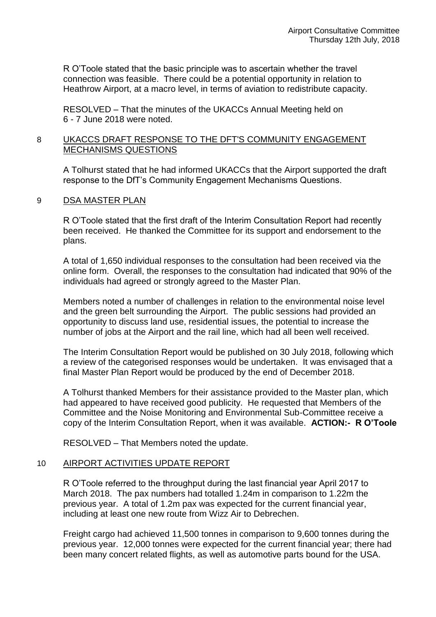R O'Toole stated that the basic principle was to ascertain whether the travel connection was feasible. There could be a potential opportunity in relation to Heathrow Airport, at a macro level, in terms of aviation to redistribute capacity.

RESOLVED – That the minutes of the UKACCs Annual Meeting held on 6 - 7 June 2018 were noted.

#### 8 UKACCS DRAFT RESPONSE TO THE DFT'S COMMUNITY ENGAGEMENT MECHANISMS QUESTIONS

A Tolhurst stated that he had informed UKACCs that the Airport supported the draft response to the DfT's Community Engagement Mechanisms Questions.

#### 9 DSA MASTER PLAN

R O'Toole stated that the first draft of the Interim Consultation Report had recently been received. He thanked the Committee for its support and endorsement to the plans.

A total of 1,650 individual responses to the consultation had been received via the online form. Overall, the responses to the consultation had indicated that 90% of the individuals had agreed or strongly agreed to the Master Plan.

Members noted a number of challenges in relation to the environmental noise level and the green belt surrounding the Airport. The public sessions had provided an opportunity to discuss land use, residential issues, the potential to increase the number of jobs at the Airport and the rail line, which had all been well received.

The Interim Consultation Report would be published on 30 July 2018, following which a review of the categorised responses would be undertaken. It was envisaged that a final Master Plan Report would be produced by the end of December 2018.

A Tolhurst thanked Members for their assistance provided to the Master plan, which had appeared to have received good publicity. He requested that Members of the Committee and the Noise Monitoring and Environmental Sub-Committee receive a copy of the Interim Consultation Report, when it was available. **ACTION:- R O'Toole**

RESOLVED – That Members noted the update.

# 10 AIRPORT ACTIVITIES UPDATE REPORT

R O'Toole referred to the throughput during the last financial year April 2017 to March 2018. The pax numbers had totalled 1.24m in comparison to 1.22m the previous year. A total of 1.2m pax was expected for the current financial year, including at least one new route from Wizz Air to Debrechen.

Freight cargo had achieved 11,500 tonnes in comparison to 9,600 tonnes during the previous year. 12,000 tonnes were expected for the current financial year; there had been many concert related flights, as well as automotive parts bound for the USA.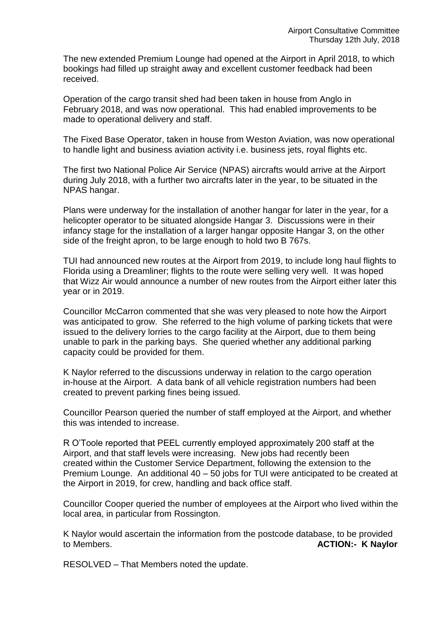The new extended Premium Lounge had opened at the Airport in April 2018, to which bookings had filled up straight away and excellent customer feedback had been received.

Operation of the cargo transit shed had been taken in house from Anglo in February 2018, and was now operational. This had enabled improvements to be made to operational delivery and staff.

The Fixed Base Operator, taken in house from Weston Aviation, was now operational to handle light and business aviation activity i.e. business jets, royal flights etc.

The first two National Police Air Service (NPAS) aircrafts would arrive at the Airport during July 2018, with a further two aircrafts later in the year, to be situated in the NPAS hangar.

Plans were underway for the installation of another hangar for later in the year, for a helicopter operator to be situated alongside Hangar 3. Discussions were in their infancy stage for the installation of a larger hangar opposite Hangar 3, on the other side of the freight apron, to be large enough to hold two B 767s.

TUI had announced new routes at the Airport from 2019, to include long haul flights to Florida using a Dreamliner; flights to the route were selling very well. It was hoped that Wizz Air would announce a number of new routes from the Airport either later this year or in 2019.

Councillor McCarron commented that she was very pleased to note how the Airport was anticipated to grow. She referred to the high volume of parking tickets that were issued to the delivery lorries to the cargo facility at the Airport, due to them being unable to park in the parking bays. She queried whether any additional parking capacity could be provided for them.

K Naylor referred to the discussions underway in relation to the cargo operation in-house at the Airport. A data bank of all vehicle registration numbers had been created to prevent parking fines being issued.

Councillor Pearson queried the number of staff employed at the Airport, and whether this was intended to increase.

R O'Toole reported that PEEL currently employed approximately 200 staff at the Airport, and that staff levels were increasing. New jobs had recently been created within the Customer Service Department, following the extension to the Premium Lounge. An additional 40 – 50 jobs for TUI were anticipated to be created at the Airport in 2019, for crew, handling and back office staff.

Councillor Cooper queried the number of employees at the Airport who lived within the local area, in particular from Rossington.

K Naylor would ascertain the information from the postcode database, to be provided to Members. **ACTION:- K Naylor**

RESOLVED – That Members noted the update.